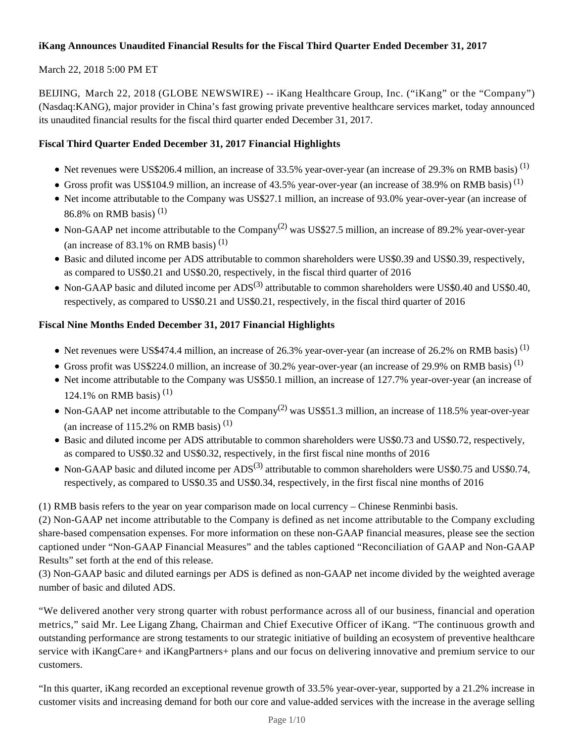## **iKang Announces Unaudited Financial Results for the Fiscal Third Quarter Ended December 31, 2017**

### March 22, 2018 5:00 PM ET

BEIJING, March 22, 2018 (GLOBE NEWSWIRE) -- iKang Healthcare Group, Inc. ("iKang" or the "Company") (Nasdaq:KANG), major provider in China's fast growing private preventive healthcare services market, today announced its unaudited financial results for the fiscal third quarter ended December 31, 2017.

#### **Fiscal Third Quarter Ended December 31, 2017 Financial Highlights**

- $\bullet$  Net revenues were US\$206.4 million, an increase of 33.5% year-over-year (an increase of 29.3% on RMB basis)<sup>(1)</sup>
- Gross profit was US\$104.9 million, an increase of 43.5% year-over-year (an increase of 38.9% on RMB basis)<sup>(1)</sup>
- Net income attributable to the Company was US\$27.1 million, an increase of 93.0% year-over-year (an increase of 86.8% on RMB basis)<sup>(1)</sup>
- Non-GAAP net income attributable to the Company<sup>(2)</sup> was US\$27.5 million, an increase of 89.2% year-over-year (an increase of 83.1% on RMB basis)  $(1)$
- Basic and diluted income per ADS attributable to common shareholders were US\$0.39 and US\$0.39, respectively, as compared to US\$0.21 and US\$0.20, respectively, in the fiscal third quarter of 2016
- Non-GAAP basic and diluted income per  $ADS^{(3)}$  attributable to common shareholders were US\$0.40 and US\$0.40, respectively, as compared to US\$0.21 and US\$0.21, respectively, in the fiscal third quarter of 2016

## **Fiscal Nine Months Ended December 31, 2017 Financial Highlights**

- $\bullet$  Net revenues were US\$474.4 million, an increase of 26.3% year-over-year (an increase of 26.2% on RMB basis)<sup>(1)</sup>
- Gross profit was US\$224.0 million, an increase of 30.2% year-over-year (an increase of 29.9% on RMB basis)<sup>(1)</sup>
- Net income attributable to the Company was US\$50.1 million, an increase of 127.7% year-over-year (an increase of 124.1% on RMB basis)<sup>(1)</sup>
- Non-GAAP net income attributable to the Company<sup>(2)</sup> was US\$51.3 million, an increase of 118.5% year-over-year (an increase of 115.2% on RMB basis) $(1)$
- Basic and diluted income per ADS attributable to common shareholders were US\$0.73 and US\$0.72, respectively, as compared to US\$0.32 and US\$0.32, respectively, in the first fiscal nine months of 2016
- Non-GAAP basic and diluted income per  $ADS^{(3)}$  attributable to common shareholders were US\$0.75 and US\$0.74, respectively, as compared to US\$0.35 and US\$0.34, respectively, in the first fiscal nine months of 2016

(1) RMB basis refers to the year on year comparison made on local currency – Chinese Renminbi basis.

(2) Non-GAAP net income attributable to the Company is defined as net income attributable to the Company excluding share-based compensation expenses. For more information on these non-GAAP financial measures, please see the section captioned under "Non-GAAP Financial Measures" and the tables captioned "Reconciliation of GAAP and Non-GAAP Results" set forth at the end of this release.

(3) Non-GAAP basic and diluted earnings per ADS is defined as non-GAAP net income divided by the weighted average number of basic and diluted ADS.

"We delivered another very strong quarter with robust performance across all of our business, financial and operation metrics," said Mr. Lee Ligang Zhang, Chairman and Chief Executive Officer of iKang. "The continuous growth and outstanding performance are strong testaments to our strategic initiative of building an ecosystem of preventive healthcare service with iKangCare+ and iKangPartners+ plans and our focus on delivering innovative and premium service to our customers.

"In this quarter, iKang recorded an exceptional revenue growth of 33.5% year-over-year, supported by a 21.2% increase in customer visits and increasing demand for both our core and value-added services with the increase in the average selling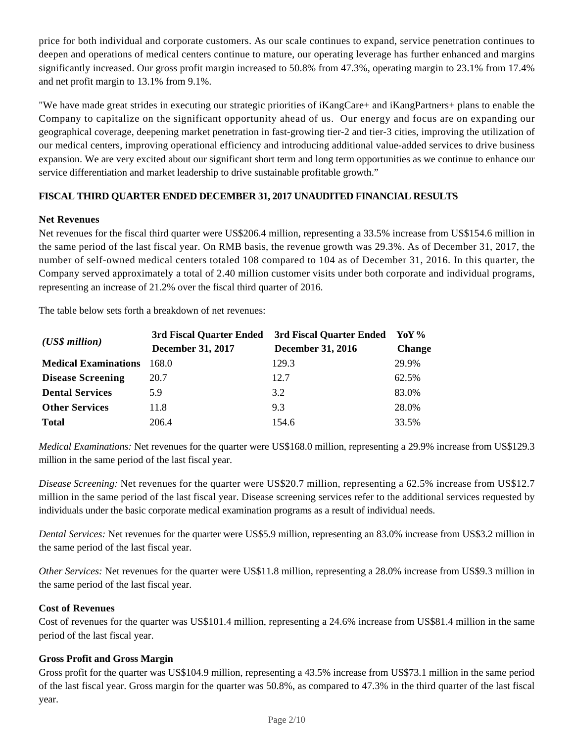price for both individual and corporate customers. As our scale continues to expand, service penetration continues to deepen and operations of medical centers continue to mature, our operating leverage has further enhanced and margins significantly increased. Our gross profit margin increased to 50.8% from 47.3%, operating margin to 23.1% from 17.4% and net profit margin to 13.1% from 9.1%.

"We have made great strides in executing our strategic priorities of iKangCare+ and iKangPartners+ plans to enable the Company to capitalize on the significant opportunity ahead of us. Our energy and focus are on expanding our geographical coverage, deepening market penetration in fast-growing tier-2 and tier-3 cities, improving the utilization of our medical centers, improving operational efficiency and introducing additional value-added services to drive business expansion. We are very excited about our significant short term and long term opportunities as we continue to enhance our service differentiation and market leadership to drive sustainable profitable growth."

## **FISCAL THIRD QUARTER ENDED DECEMBER 31, 2017 UNAUDITED FINANCIAL RESULTS**

#### **Net Revenues**

Net revenues for the fiscal third quarter were US\$206.4 million, representing a 33.5% increase from US\$154.6 million in the same period of the last fiscal year. On RMB basis, the revenue growth was 29.3%. As of December 31, 2017, the number of self-owned medical centers totaled 108 compared to 104 as of December 31, 2016. In this quarter, the Company served approximately a total of 2.40 million customer visits under both corporate and individual programs, representing an increase of 21.2% over the fiscal third quarter of 2016.

The table below sets forth a breakdown of net revenues:

| $(US\$ s million            | 3rd Fiscal Quarter Ended | 3rd Fiscal Quarter Ended | $\mathbf{Yo}\mathbf{Y}$ % |  |
|-----------------------------|--------------------------|--------------------------|---------------------------|--|
|                             | <b>December 31, 2017</b> | <b>December 31, 2016</b> | <b>Change</b>             |  |
| <b>Medical Examinations</b> | 168.0                    | 129.3                    | 29.9%                     |  |
| <b>Disease Screening</b>    | 20.7                     | 12.7                     | 62.5%                     |  |
| <b>Dental Services</b>      | 5.9                      | 3.2                      | 83.0%                     |  |
| <b>Other Services</b>       | 11.8                     | 9.3                      | 28.0%                     |  |
| <b>Total</b>                | 206.4                    | 154.6                    | 33.5%                     |  |

*Medical Examinations:* Net revenues for the quarter were US\$168.0 million, representing a 29.9% increase from US\$129.3 million in the same period of the last fiscal year.

*Disease Screening:* Net revenues for the quarter were US\$20.7 million, representing a 62.5% increase from US\$12.7 million in the same period of the last fiscal year. Disease screening services refer to the additional services requested by individuals under the basic corporate medical examination programs as a result of individual needs.

*Dental Services:* Net revenues for the quarter were US\$5.9 million, representing an 83.0% increase from US\$3.2 million in the same period of the last fiscal year.

*Other Services:* Net revenues for the quarter were US\$11.8 million, representing a 28.0% increase from US\$9.3 million in the same period of the last fiscal year.

#### **Cost of Revenues**

Cost of revenues for the quarter was US\$101.4 million, representing a 24.6% increase from US\$81.4 million in the same period of the last fiscal year.

## **Gross Profit and Gross Margin**

Gross profit for the quarter was US\$104.9 million, representing a 43.5% increase from US\$73.1 million in the same period of the last fiscal year. Gross margin for the quarter was 50.8%, as compared to 47.3% in the third quarter of the last fiscal year.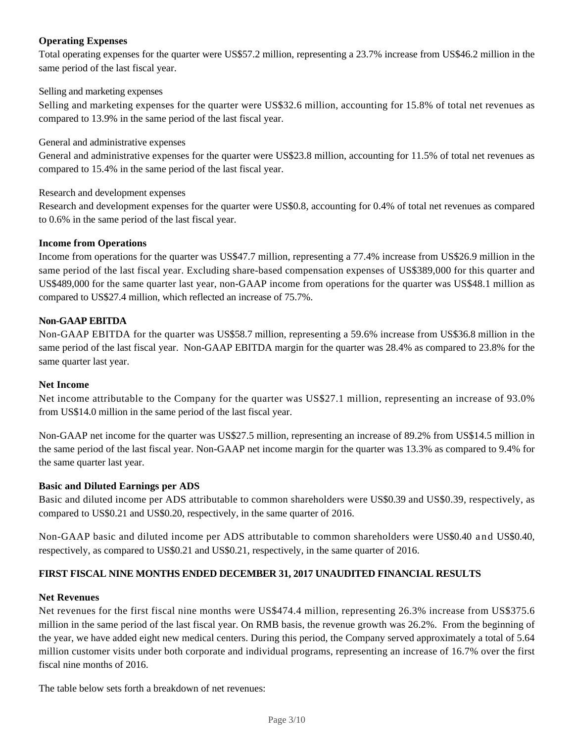## **Operating Expenses**

Total operating expenses for the quarter were US\$57.2 million, representing a 23.7% increase from US\$46.2 million in the same period of the last fiscal year.

#### Selling and marketing expenses

Selling and marketing expenses for the quarter were US\$32.6 million, accounting for 15.8% of total net revenues as compared to 13.9% in the same period of the last fiscal year.

#### General and administrative expenses

General and administrative expenses for the quarter were US\$23.8 million, accounting for 11.5% of total net revenues as compared to 15.4% in the same period of the last fiscal year.

#### Research and development expenses

Research and development expenses for the quarter were US\$0.8, accounting for 0.4% of total net revenues as compared to 0.6% in the same period of the last fiscal year.

#### **Income from Operations**

Income from operations for the quarter was US\$47.7 million, representing a 77.4% increase from US\$26.9 million in the same period of the last fiscal year. Excluding share-based compensation expenses of US\$389,000 for this quarter and US\$489,000 for the same quarter last year, non-GAAP income from operations for the quarter was US\$48.1 million as compared to US\$27.4 million, which reflected an increase of 75.7%.

#### **Non-GAAP EBITDA**

Non-GAAP EBITDA for the quarter was US\$58.7 million, representing a 59.6% increase from US\$36.8 million in the same period of the last fiscal year. Non-GAAP EBITDA margin for the quarter was 28.4% as compared to 23.8% for the same quarter last year.

#### **Net Income**

Net income attributable to the Company for the quarter was US\$27.1 million, representing an increase of 93.0% from US\$14.0 million in the same period of the last fiscal year.

Non-GAAP net income for the quarter was US\$27.5 million, representing an increase of 89.2% from US\$14.5 million in the same period of the last fiscal year. Non-GAAP net income margin for the quarter was 13.3% as compared to 9.4% for the same quarter last year.

#### **Basic and Diluted Earnings per ADS**

Basic and diluted income per ADS attributable to common shareholders were US\$0.39 and US\$0.39, respectively, as compared to US\$0.21 and US\$0.20, respectively, in the same quarter of 2016.

Non-GAAP basic and diluted income per ADS attributable to common shareholders were US\$0.40 and US\$0.40, respectively, as compared to US\$0.21 and US\$0.21, respectively, in the same quarter of 2016.

## **FIRST FISCAL NINE MONTHS ENDED DECEMBER 31, 2017 UNAUDITED FINANCIAL RESULTS**

#### **Net Revenues**

Net revenues for the first fiscal nine months were US\$474.4 million, representing 26.3% increase from US\$375.6 million in the same period of the last fiscal year. On RMB basis, the revenue growth was 26.2%. From the beginning of the year, we have added eight new medical centers. During this period, the Company served approximately a total of 5.64 million customer visits under both corporate and individual programs, representing an increase of 16.7% over the first fiscal nine months of 2016.

The table below sets forth a breakdown of net revenues: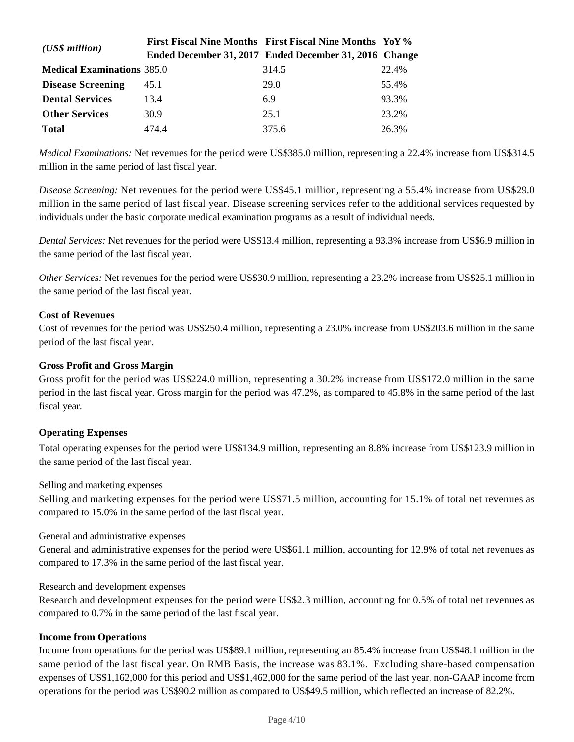| $(US\$ s million                  |       | First Fiscal Nine Months First Fiscal Nine Months YoY% |       |
|-----------------------------------|-------|--------------------------------------------------------|-------|
|                                   |       | Ended December 31, 2017 Ended December 31, 2016 Change |       |
| <b>Medical Examinations</b> 385.0 |       | 314.5                                                  | 22.4% |
| <b>Disease Screening</b>          | 45.1  | 29.0                                                   | 55.4% |
| <b>Dental Services</b>            | 13.4  | 6.9                                                    | 93.3% |
| <b>Other Services</b>             | 30.9  | 25.1                                                   | 23.2% |
| <b>Total</b>                      | 474.4 | 375.6                                                  | 26.3% |

*Medical Examinations:* Net revenues for the period were US\$385.0 million, representing a 22.4% increase from US\$314.5 million in the same period of last fiscal year.

*Disease Screening:* Net revenues for the period were US\$45.1 million, representing a 55.4% increase from US\$29.0 million in the same period of last fiscal year. Disease screening services refer to the additional services requested by individuals under the basic corporate medical examination programs as a result of individual needs.

*Dental Services:* Net revenues for the period were US\$13.4 million, representing a 93.3% increase from US\$6.9 million in the same period of the last fiscal year.

*Other Services:* Net revenues for the period were US\$30.9 million, representing a 23.2% increase from US\$25.1 million in the same period of the last fiscal year.

#### **Cost of Revenues**

Cost of revenues for the period was US\$250.4 million, representing a 23.0% increase from US\$203.6 million in the same period of the last fiscal year.

#### **Gross Profit and Gross Margin**

Gross profit for the period was US\$224.0 million, representing a 30.2% increase from US\$172.0 million in the same period in the last fiscal year. Gross margin for the period was 47.2%, as compared to 45.8% in the same period of the last fiscal year.

#### **Operating Expenses**

Total operating expenses for the period were US\$134.9 million, representing an 8.8% increase from US\$123.9 million in the same period of the last fiscal year.

Selling and marketing expenses

Selling and marketing expenses for the period were US\$71.5 million, accounting for 15.1% of total net revenues as compared to 15.0% in the same period of the last fiscal year.

#### General and administrative expenses

General and administrative expenses for the period were US\$61.1 million, accounting for 12.9% of total net revenues as compared to 17.3% in the same period of the last fiscal year.

#### Research and development expenses

Research and development expenses for the period were US\$2.3 million, accounting for 0.5% of total net revenues as compared to 0.7% in the same period of the last fiscal year.

#### **Income from Operations**

Income from operations for the period was US\$89.1 million, representing an 85.4% increase from US\$48.1 million in the same period of the last fiscal year. On RMB Basis, the increase was 83.1%. Excluding share-based compensation expenses of US\$1,162,000 for this period and US\$1,462,000 for the same period of the last year, non-GAAP income from operations for the period was US\$90.2 million as compared to US\$49.5 million, which reflected an increase of 82.2%.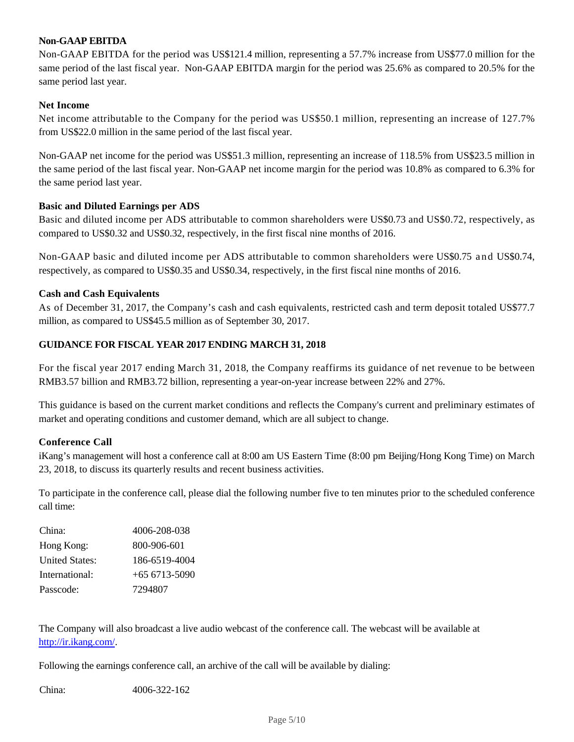## **Non-GAAP EBITDA**

Non-GAAP EBITDA for the period was US\$121.4 million, representing a 57.7% increase from US\$77.0 million for the same period of the last fiscal year. Non-GAAP EBITDA margin for the period was 25.6% as compared to 20.5% for the same period last year.

#### **Net Income**

Net income attributable to the Company for the period was US\$50.1 million, representing an increase of 127.7% from US\$22.0 million in the same period of the last fiscal year.

Non-GAAP net income for the period was US\$51.3 million, representing an increase of 118.5% from US\$23.5 million in the same period of the last fiscal year. Non-GAAP net income margin for the period was 10.8% as compared to 6.3% for the same period last year.

#### **Basic and Diluted Earnings per ADS**

Basic and diluted income per ADS attributable to common shareholders were US\$0.73 and US\$0.72, respectively, as compared to US\$0.32 and US\$0.32, respectively, in the first fiscal nine months of 2016.

Non-GAAP basic and diluted income per ADS attributable to common shareholders were US\$0.75 and US\$0.74, respectively, as compared to US\$0.35 and US\$0.34, respectively, in the first fiscal nine months of 2016.

#### **Cash and Cash Equivalents**

As of December 31, 2017, the Company's cash and cash equivalents, restricted cash and term deposit totaled US\$77.7 million, as compared to US\$45.5 million as of September 30, 2017.

#### **GUIDANCE FOR FISCAL YEAR 2017 ENDING MARCH 31, 2018**

For the fiscal year 2017 ending March 31, 2018, the Company reaffirms its guidance of net revenue to be between RMB3.57 billion and RMB3.72 billion, representing a year-on-year increase between 22% and 27%.

This guidance is based on the current market conditions and reflects the Company's current and preliminary estimates of market and operating conditions and customer demand, which are all subject to change.

#### **Conference Call**

iKang's management will host a conference call at 8:00 am US Eastern Time (8:00 pm Beijing/Hong Kong Time) on March 23, 2018, to discuss its quarterly results and recent business activities.

To participate in the conference call, please dial the following number five to ten minutes prior to the scheduled conference call time:

| China:                | 4006-208-038   |
|-----------------------|----------------|
| Hong Kong:            | 800-906-601    |
| <b>United States:</b> | 186-6519-4004  |
| International:        | $+656713-5090$ |
| Passcode:             | 7294807        |

The Company will also broadcast a live audio webcast of the conference call. The webcast will be available at http://ir.ikang.com/.

Following the earnings conference call, an archive of the call will be available by dialing:

China: 4006-322-162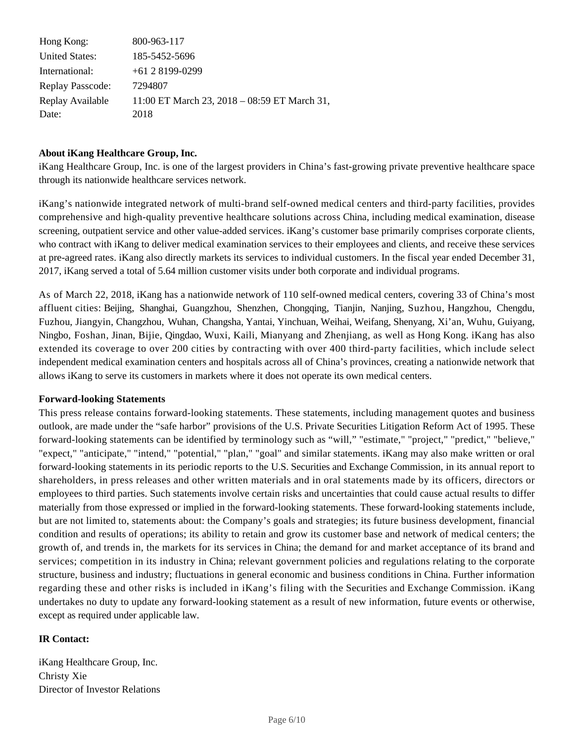| Hong Kong:            | 800-963-117                                  |
|-----------------------|----------------------------------------------|
| <b>United States:</b> | 185-5452-5696                                |
| International:        | $+6128199-0299$                              |
| Replay Passcode:      | 7294807                                      |
| Replay Available      | 11:00 ET March 23, 2018 - 08:59 ET March 31, |
| Date:                 | 2018                                         |

#### **About iKang Healthcare Group, Inc.**

iKang Healthcare Group, Inc. is one of the largest providers in China's fast-growing private preventive healthcare space through its nationwide healthcare services network.

iKang's nationwide integrated network of multi-brand self-owned medical centers and third-party facilities, provides comprehensive and high-quality preventive healthcare solutions across China, including medical examination, disease screening, outpatient service and other value-added services. iKang's customer base primarily comprises corporate clients, who contract with iKang to deliver medical examination services to their employees and clients, and receive these services at pre-agreed rates. iKang also directly markets its services to individual customers. In the fiscal year ended December 31, 2017, iKang served a total of 5.64 million customer visits under both corporate and individual programs.

As of March 22, 2018, iKang has a nationwide network of 110 self-owned medical centers, covering 33 of China's most affluent cities: Beijing, Shanghai, Guangzhou, Shenzhen, Chongqing, Tianjin, Nanjing, Suzhou, Hangzhou, Chengdu, Fuzhou, Jiangyin, Changzhou, Wuhan, Changsha, Yantai, Yinchuan, Weihai, Weifang, Shenyang, Xi'an, Wuhu, Guiyang, Ningbo, Foshan, Jinan, Bijie, Qingdao, Wuxi, Kaili, Mianyang and Zhenjiang, as well as Hong Kong. iKang has also extended its coverage to over 200 cities by contracting with over 400 third-party facilities, which include select independent medical examination centers and hospitals across all of China's provinces, creating a nationwide network that allows iKang to serve its customers in markets where it does not operate its own medical centers.

#### **Forward-looking Statements**

This press release contains forward-looking statements. These statements, including management quotes and business outlook, are made under the "safe harbor" provisions of the U.S. Private Securities Litigation Reform Act of 1995. These forward-looking statements can be identified by terminology such as "will," "estimate," "project," "predict," "believe," "expect," "anticipate," "intend," "potential," "plan," "goal" and similar statements. iKang may also make written or oral forward-looking statements in its periodic reports to the U.S. Securities and Exchange Commission, in its annual report to shareholders, in press releases and other written materials and in oral statements made by its officers, directors or employees to third parties. Such statements involve certain risks and uncertainties that could cause actual results to differ materially from those expressed or implied in the forward-looking statements. These forward-looking statements include, but are not limited to, statements about: the Company's goals and strategies; its future business development, financial condition and results of operations; its ability to retain and grow its customer base and network of medical centers; the growth of, and trends in, the markets for its services in China; the demand for and market acceptance of its brand and services; competition in its industry in China; relevant government policies and regulations relating to the corporate structure, business and industry; fluctuations in general economic and business conditions in China. Further information regarding these and other risks is included in iKang's filing with the Securities and Exchange Commission. iKang undertakes no duty to update any forward-looking statement as a result of new information, future events or otherwise, except as required under applicable law.

#### **IR Contact:**

iKang Healthcare Group, Inc. Christy Xie Director of Investor Relations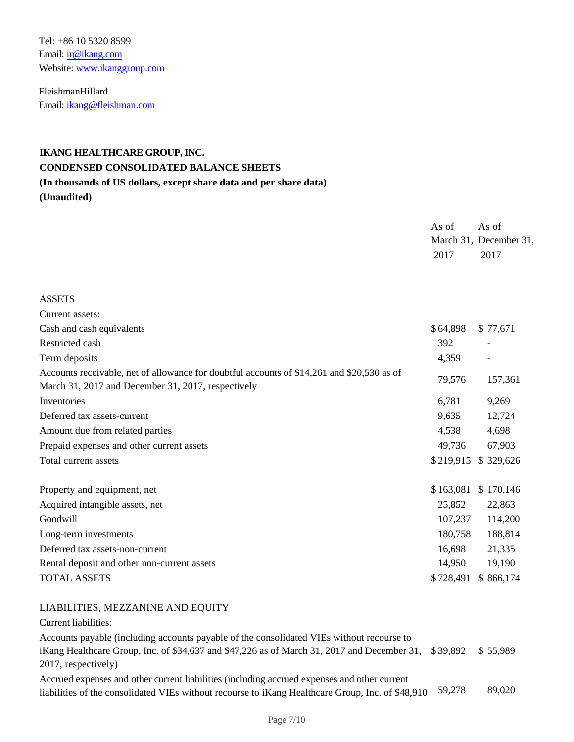Tel: +86 10 5320 8599 Email: ir@ikang.com Website: www.ikanggroup.com

FleishmanHillard Email: ikang@fleishman.com

## **IKANG HEALTHCARE GROUP, INC. CONDENSED CONSOLIDATED BALANCE SHEETS (In thousands of US dollars, except share data and per share data)**

**(Unaudited)**

|                                                                                                                                                        | As of<br>2017 | As of<br>March 31, December 31,<br>2017 |
|--------------------------------------------------------------------------------------------------------------------------------------------------------|---------------|-----------------------------------------|
| <b>ASSETS</b>                                                                                                                                          |               |                                         |
| Current assets:                                                                                                                                        |               |                                         |
| Cash and cash equivalents                                                                                                                              | \$64,898      | \$77,671                                |
| Restricted cash                                                                                                                                        | 392           |                                         |
| Term deposits                                                                                                                                          | 4,359         |                                         |
| Accounts receivable, net of allowance for doubtful accounts of \$14,261 and \$20,530 as of<br>March 31, 2017 and December 31, 2017, respectively       | 79,576        | 157,361                                 |
| Inventories                                                                                                                                            | 6,781         | 9,269                                   |
| Deferred tax assets-current                                                                                                                            | 9,635         | 12,724                                  |
| Amount due from related parties                                                                                                                        | 4,538         | 4,698                                   |
| Prepaid expenses and other current assets                                                                                                              | 49,736        | 67,903                                  |
| Total current assets                                                                                                                                   | \$219,915     | \$329,626                               |
| Property and equipment, net                                                                                                                            | \$163,081     | \$170,146                               |
| Acquired intangible assets, net                                                                                                                        | 25,852        | 22,863                                  |
| Goodwill                                                                                                                                               | 107,237       | 114,200                                 |
| Long-term investments                                                                                                                                  | 180,758       | 188,814                                 |
| Deferred tax assets-non-current                                                                                                                        | 16,698        | 21,335                                  |
| Rental deposit and other non-current assets                                                                                                            | 14,950        | 19,190                                  |
| <b>TOTAL ASSETS</b>                                                                                                                                    | \$728,491     | \$866,174                               |
| LIABILITIES, MEZZANINE AND EQUITY<br>Current liabilities:<br>Accounts payable (including accounts payable of the consolidated VIEs without recourse to |               |                                         |

iKang Healthcare Group, Inc. of \$34,637 and \$47,226 as of March 31, 2017 and December 31, \$ 39,892 \$ 55,989 2017, respectively) Accrued expenses and other current liabilities (including accrued expenses and other current

liabilities of the consolidated VIEs without recourse to iKang Healthcare Group, Inc. of \$48,910 59,278 89,020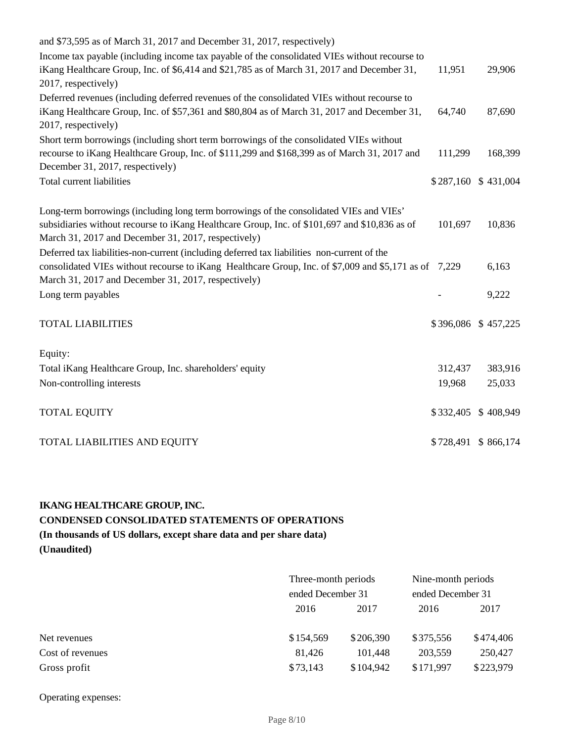| and \$73,595 as of March 31, 2017 and December 31, 2017, respectively)                                                           |           |                     |
|----------------------------------------------------------------------------------------------------------------------------------|-----------|---------------------|
| Income tax payable (including income tax payable of the consolidated VIEs without recourse to                                    |           |                     |
| iKang Healthcare Group, Inc. of \$6,414 and \$21,785 as of March 31, 2017 and December 31,                                       | 11,951    | 29,906              |
| 2017, respectively)                                                                                                              |           |                     |
| Deferred revenues (including deferred revenues of the consolidated VIEs without recourse to                                      |           |                     |
| iKang Healthcare Group, Inc. of \$57,361 and \$80,804 as of March 31, 2017 and December 31,                                      | 64,740    | 87,690              |
| 2017, respectively)                                                                                                              |           |                     |
| Short term borrowings (including short term borrowings of the consolidated VIEs without                                          |           |                     |
| recourse to iKang Healthcare Group, Inc. of \$111,299 and \$168,399 as of March 31, 2017 and<br>December 31, 2017, respectively) | 111,299   | 168,399             |
| Total current liabilities                                                                                                        |           | \$287,160 \$431,004 |
|                                                                                                                                  |           |                     |
| Long-term borrowings (including long term borrowings of the consolidated VIEs and VIEs'                                          |           |                     |
| subsidiaries without recourse to iKang Healthcare Group, Inc. of \$101,697 and \$10,836 as of                                    | 101,697   | 10,836              |
| March 31, 2017 and December 31, 2017, respectively)                                                                              |           |                     |
| Deferred tax liabilities-non-current (including deferred tax liabilities non-current of the                                      |           |                     |
| consolidated VIEs without recourse to iKang Healthcare Group, Inc. of \$7,009 and \$5,171 as of 7,229                            |           | 6,163               |
| March 31, 2017 and December 31, 2017, respectively)                                                                              |           |                     |
| Long term payables                                                                                                               |           | 9,222               |
| <b>TOTAL LIABILITIES</b>                                                                                                         |           | \$396,086 \$457,225 |
|                                                                                                                                  |           |                     |
| Equity:                                                                                                                          |           |                     |
| Total iKang Healthcare Group, Inc. shareholders' equity                                                                          | 312,437   | 383,916             |
| Non-controlling interests                                                                                                        | 19,968    | 25,033              |
| <b>TOTAL EQUITY</b>                                                                                                              | \$332,405 | \$408,949           |
|                                                                                                                                  |           |                     |
| TOTAL LIABILITIES AND EQUITY                                                                                                     |           | \$728,491 \$866,174 |

## **IKANG HEALTHCARE GROUP, INC. CONDENSED CONSOLIDATED STATEMENTS OF OPERATIONS (In thousands of US dollars, except share data and per share data) (Unaudited)**

|                  | Three-month periods<br>ended December 31 |           | Nine-month periods<br>ended December 31 |           |
|------------------|------------------------------------------|-----------|-----------------------------------------|-----------|
|                  |                                          |           |                                         |           |
|                  | 2016<br>2017                             |           | 2016                                    | 2017      |
|                  |                                          |           |                                         |           |
| Net revenues     | \$154,569                                | \$206,390 | \$375,556                               | \$474,406 |
| Cost of revenues | 81,426                                   | 101,448   | 203,559                                 | 250,427   |
| Gross profit     | \$73,143                                 | \$104,942 | \$171,997                               | \$223,979 |

Operating expenses: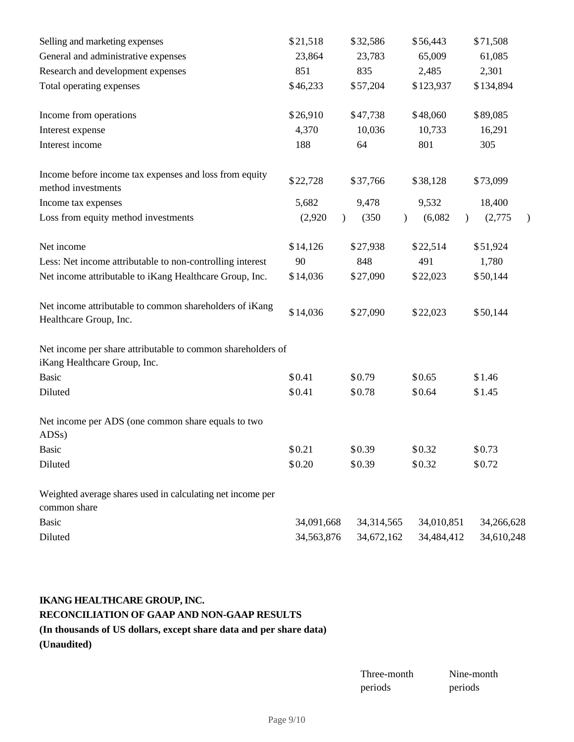| Selling and marketing expenses                                                              | \$21,518   | \$32,586               | \$56,443                              | \$71,508   |
|---------------------------------------------------------------------------------------------|------------|------------------------|---------------------------------------|------------|
| General and administrative expenses                                                         | 23,864     | 23,783                 | 65,009                                | 61,085     |
| Research and development expenses                                                           | 851        | 835                    | 2,485                                 | 2,301      |
| Total operating expenses                                                                    | \$46,233   | \$57,204               | \$123,937                             | \$134,894  |
| Income from operations                                                                      | \$26,910   | \$47,738               | \$48,060                              | \$89,085   |
| Interest expense                                                                            | 4,370      | 10,036                 | 10,733                                | 16,291     |
| Interest income                                                                             | 188        | 64                     | 801                                   | 305        |
| Income before income tax expenses and loss from equity<br>method investments                | \$22,728   | \$37,766               | \$38,128                              | \$73,099   |
| Income tax expenses                                                                         | 5,682      | 9,478                  | 9,532                                 | 18,400     |
| Loss from equity method investments                                                         | (2,920)    | (350)<br>$\mathcal{L}$ | (6,082)<br>$\mathcal{L}$<br>$\lambda$ | (2,775)    |
| Net income                                                                                  | \$14,126   | \$27,938               | \$22,514                              | \$51,924   |
| Less: Net income attributable to non-controlling interest                                   | 90         | 848                    | 491                                   | 1,780      |
| Net income attributable to iKang Healthcare Group, Inc.                                     | \$14,036   | \$27,090               | \$22,023                              | \$50,144   |
| Net income attributable to common shareholders of iKang<br>Healthcare Group, Inc.           | \$14,036   | \$27,090               | \$22,023                              | \$50,144   |
| Net income per share attributable to common shareholders of<br>iKang Healthcare Group, Inc. |            |                        |                                       |            |
| <b>Basic</b>                                                                                | \$0.41     | \$0.79                 | \$0.65                                | \$1.46     |
| Diluted                                                                                     | \$0.41     | \$0.78                 | \$0.64                                | \$1.45     |
| Net income per ADS (one common share equals to two<br>ADS <sub>s</sub> )                    |            |                        |                                       |            |
| <b>Basic</b>                                                                                | \$0.21     | \$0.39                 | \$0.32                                | \$0.73     |
| Diluted                                                                                     | \$0.20     | \$0.39                 | \$0.32                                | \$0.72     |
| Weighted average shares used in calculating net income per<br>common share                  |            |                        |                                       |            |
| <b>Basic</b>                                                                                | 34,091,668 | 34,314,565             | 34,010,851                            | 34,266,628 |
| Diluted                                                                                     | 34,563,876 | 34,672,162             | 34,484,412                            | 34,610,248 |

## **IKANG HEALTHCARE GROUP, INC.**

## **RECONCILIATION OF GAAP AND NON-GAAP RESULTS**

**(In thousands of US dollars, except share data and per share data)**

**(Unaudited)**

| Three-month | Nine-month |
|-------------|------------|
| periods     | periods    |